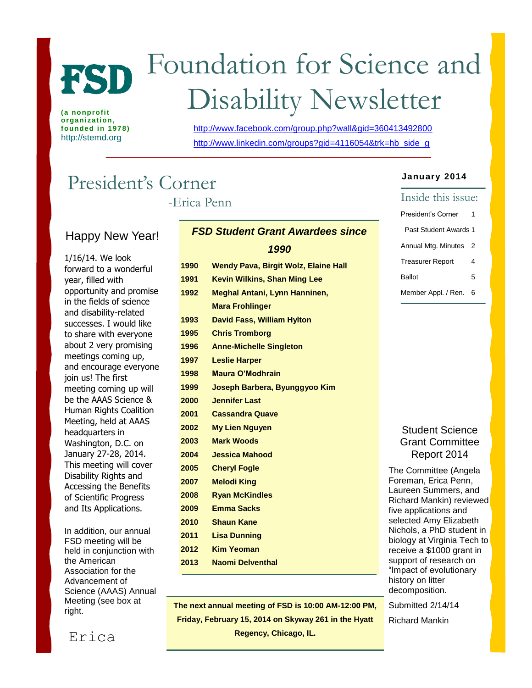

**(a nonprofit organization, founded in 1978)** http://stemd.org

# Foundation for Science and Disability Newsletter

<http://www.facebook.com/group.php?wall&gid=360413492800> [http://www.linkedin.com/groups?gid=4116054&trk=hb\\_side\\_g](http://www.linkedin.com/groups?gid=4116054&trk=hb_side_g)

## President's Corner

-Erica Penn

## Happy New Year!

1/16/14. We look forward to a wonderful year, filled with opportunity and promise in the fields of science and disability-related successes. I would like to share with everyone about 2 very promising meetings coming up, and encourage everyone join us! The first meeting coming up will be the AAAS Science & **Human Rights Coalition** Meeting, held at AAAS headquarters in Washington, D.C. on January 27-28, 2014. This meeting will cover Disability Rights and Accessing the Benefits of Scientific Progress and Its Applications.

In addition, our annual FSD meeting will be held in conjunction with the American Association for the Advancement of Science (AAAS) Annual Meeting (see box at right.

| <b>FSD Student Grant Awardees since</b> |                                             |  |  |
|-----------------------------------------|---------------------------------------------|--|--|
|                                         | 1990                                        |  |  |
| 1990                                    | <b>Wendy Pava, Birgit Wolz, Elaine Hall</b> |  |  |
| 1991                                    | <b>Kevin Wilkins, Shan Ming Lee</b>         |  |  |

 **Meghal Antani, Lynn Hanninen, Mara Frohlinger David Fass, William Hylton Chris Tromborg Anne-Michelle Singleton Leslie Harper Maura O'Modhrain Joseph Barbera, Byunggyoo Kim Jennifer Last Cassandra Quave My Lien Nguyen Mark Woods Jessica Mahood Cheryl Fogle Melodi King Ryan McKindles Emma Sacks Shaun Kane Lisa Dunning Kim Yeoman Naomi Delventhal**

## **The next annual meeting of FSD is 10:00 AM-12:00 PM, Friday, February 15, 2014 on Skyway 261 in the Hyatt 1991 Regency, Chicago, IL.**

#### **January 2014**

| Inside this issue:      |   |  |  |  |
|-------------------------|---|--|--|--|
| President's Corner      |   |  |  |  |
| Past Student Awards 1   |   |  |  |  |
| Annual Mtg. Minutes     | 2 |  |  |  |
| <b>Treasurer Report</b> | 4 |  |  |  |
| Ballot                  | 5 |  |  |  |
| Member Appl. / Ren.     | 6 |  |  |  |

#### Student Science Grant Committee Report 2014

The Committee (Angela Foreman, Erica Penn, Laureen Summers, and Richard Mankin) reviewed five applications and selected Amy Elizabeth Nichols, a PhD student in biology at Virginia Tech to receive a \$1000 grant in support of research on "Impact of evolutionary history on litter decomposition.

Submitted 2/14/14

Richard Mankin

Erica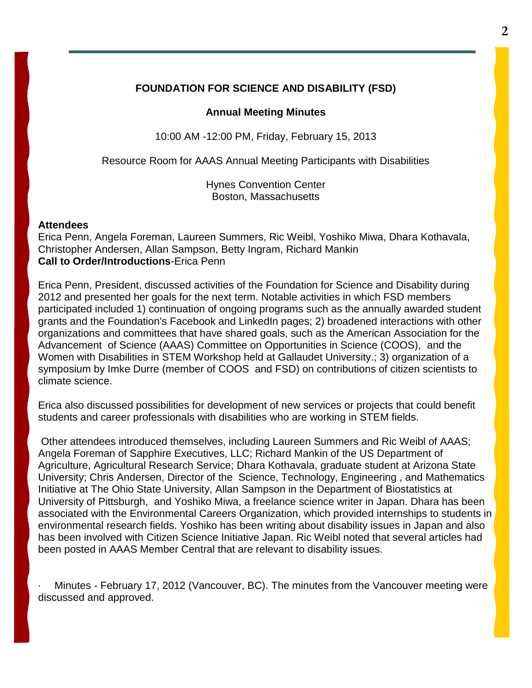#### **FOUNDATION FOR SCIENCE AND DISABILITY (FSD)**

#### **Annual Meeting Minutes**

10:00 AM -12:00 PM, Friday, February 15, 2013

Resource Room for AAAS Annual Meeting Participants with Disabilities

Hynes Convention Center Boston, Massachusetts

#### **Attendees**

Erica Penn, Angela Foreman, Laureen Summers, Ric Weibl, Yoshiko Miwa, Dhara Kothavala, Christopher Andersen, Allan Sampson, Betty Ingram, Richard Mankin **Call to Order/Introductions**-Erica Penn

Erica Penn, President, discussed activities of the Foundation for Science and Disability during 2012 and presented her goals for the next term. Notable activities in which FSD members participated included 1) continuation of ongoing programs such as the annually awarded student grants and the Foundation's Facebook and LinkedIn pages; 2) broadened interactions with other organizations and committees that have shared goals, such as the American Association for the Advancement of Science (AAAS) Committee on Opportunities in Science (COOS), and the Women with Disabilities in STEM Workshop held at Gallaudet University.; 3) organization of a symposium by Imke Durre (member of COOS and FSD) on contributions of citizen scientists to climate science.

Erica also discussed possibilities for development of new services or projects that could benefit students and career professionals with disabilities who are working in STEM fields.

Other attendees introduced themselves, including Laureen Summers and Ric Weibl of AAAS; Angela Foreman of Sapphire Executives, LLC; Richard Mankin of the US Department of Agriculture, Agricultural Research Service; Dhara Kothavala, graduate student at Arizona State University; Chris Andersen, Director of the Science, Technology, Engineering , and Mathematics Initiative at The Ohio State University, Allan Sampson in the Department of Biostatistics at University of Pittsburgh, and Yoshiko Miwa, a freelance science writer in Japan. Dhara has been associated with the Environmental Careers Organization, which provided internships to students in environmental research fields. Yoshiko has been writing about disability issues in Japan and also has been involved with Citizen Science Initiative Japan. Ric Weibl noted that several articles had been posted in AAAS Member Central that are relevant to disability issues.

Minutes - February 17, 2012 (Vancouver, BC). The minutes from the Vancouver meeting were discussed and approved.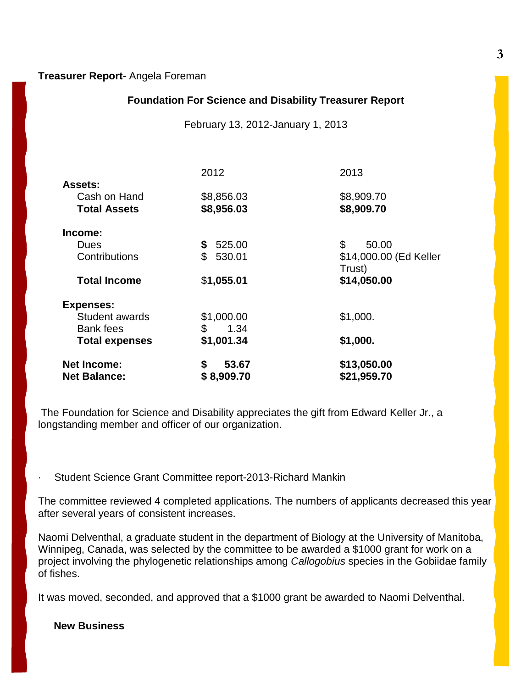#### **Treasurer Report**- Angela Foreman

#### **Foundation For Science and Disability Treasurer Report**

February 13, 2012-January 1, 2013

|                       | 2012                     | 2013                             |  |
|-----------------------|--------------------------|----------------------------------|--|
| <b>Assets:</b>        |                          |                                  |  |
| Cash on Hand          | \$8,856.03               | \$8,909.70                       |  |
| <b>Total Assets</b>   | \$8,956.03               | \$8,909.70                       |  |
| Income:               |                          |                                  |  |
| Dues                  | 525.00<br>\$             | \$<br>50.00                      |  |
| Contributions         | $\mathfrak{L}$<br>530.01 | \$14,000.00 (Ed Keller<br>Trust) |  |
| <b>Total Income</b>   | \$1,055.01               | \$14,050.00                      |  |
| <b>Expenses:</b>      |                          |                                  |  |
| <b>Student awards</b> | \$1,000.00               | \$1,000.                         |  |
| <b>Bank fees</b>      | \$<br>1.34               |                                  |  |
| <b>Total expenses</b> | \$1,001.34               | \$1,000.                         |  |
| <b>Net Income:</b>    | \$<br>53.67              | \$13,050.00                      |  |
| <b>Net Balance:</b>   | \$8,909.70               | \$21,959.70                      |  |

The Foundation for Science and Disability appreciates the gift from Edward Keller Jr., a longstanding member and officer of our organization.

Student Science Grant Committee report-2013-Richard Mankin

The committee reviewed 4 completed applications. The numbers of applicants decreased this year after several years of consistent increases.

Naomi Delventhal, a graduate student in the department of Biology at the University of Manitoba, Winnipeg, Canada, was selected by the committee to be awarded a \$1000 grant for work on a project involving the phylogenetic relationships among *Callogobius* species in the Gobiidae family of fishes.

It was moved, seconded, and approved that a \$1000 grant be awarded to Naomi Delventhal.

#### **New Business**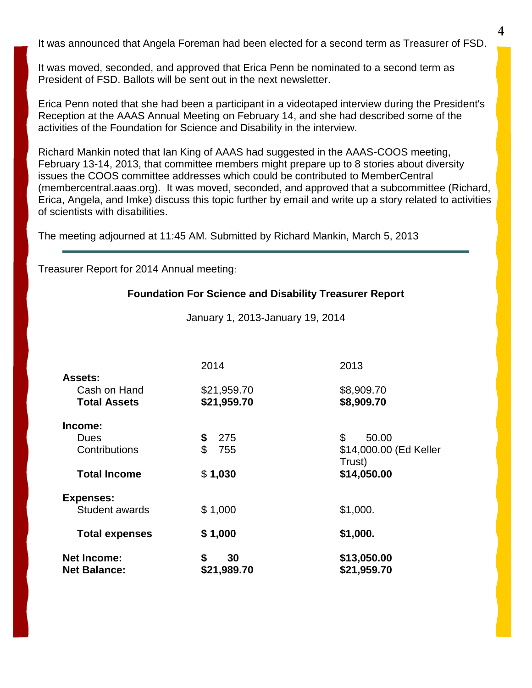It was announced that Angela Foreman had been elected for a second term as Treasurer of FSD.

It was moved, seconded, and approved that Erica Penn be nominated to a second term as President of FSD. Ballots will be sent out in the next newsletter.

Erica Penn noted that she had been a participant in a videotaped interview during the President's Reception at the AAAS Annual Meeting on February 14, and she had described some of the activities of the Foundation for Science and Disability in the interview.

Richard Mankin noted that Ian King of AAAS had suggested in the AAAS-COOS meeting, February 13-14, 2013, that committee members might prepare up to 8 stories about diversity issues the COOS committee addresses which could be contributed to MemberCentral (membercentral.aaas.org). It was moved, seconded, and approved that a subcommittee (Richard, Erica, Angela, and Imke) discuss this topic further by email and write up a story related to activities of scientists with disabilities.

The meeting adjourned at 11:45 AM. Submitted by Richard Mankin, March 5, 2013

Treasurer Report for 2014 Annual meeting:

#### **Foundation For Science and Disability Treasurer Report**

January 1, 2013-January 19, 2014

| <b>Net Income:</b><br><b>Net Balance:</b> | \$<br>30<br>\$21,989.70    | \$13,050.00<br>\$21,959.70                      |
|-------------------------------------------|----------------------------|-------------------------------------------------|
| <b>Total expenses</b>                     | \$1,000                    | \$1,000.                                        |
| <b>Expenses:</b><br>Student awards        | \$1,000                    | \$1,000.                                        |
| <b>Total Income</b>                       | \$1,030                    | \$14,050.00                                     |
| Income:<br>Dues<br>Contributions          | 275<br>\$<br>\$<br>755     | \$<br>50.00<br>\$14,000.00 (Ed Keller<br>Trust) |
| Cash on Hand<br><b>Total Assets</b>       | \$21,959.70<br>\$21,959.70 | \$8,909.70<br>\$8,909.70                        |
| <b>Assets:</b>                            | 2014                       | 2013                                            |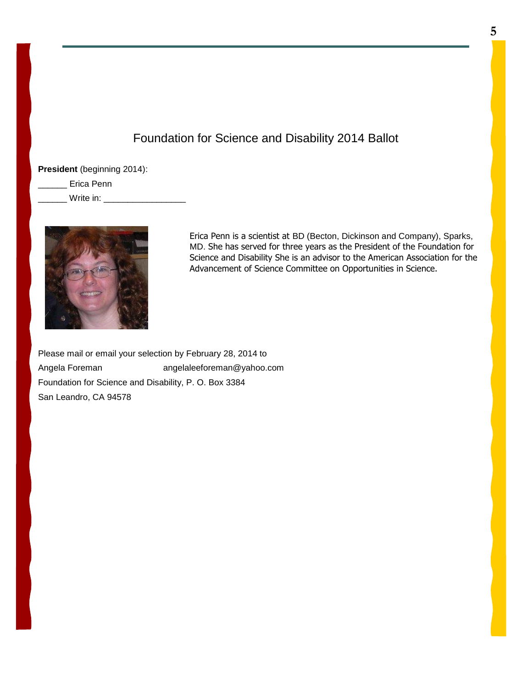## Foundation for Science and Disability 2014 Ballot

**President** (beginning 2014):

\_\_\_\_\_\_ Erica Penn

Write in: **Write in:**  $\blacksquare$ 



Erica Penn is a scientist at BD (Becton, Dickinson and Company), Sparks, MD. She has served for three years as the President of the Foundation for Science and Disability She is an advisor to the American Association for the Advancement of Science Committee on Opportunities in Science.

Please mail or email your selection by February 28, 2014 to Angela Foreman angelaleeforeman@yahoo.com Foundation for Science and Disability, P. O. Box 3384 San Leandro, CA 94578